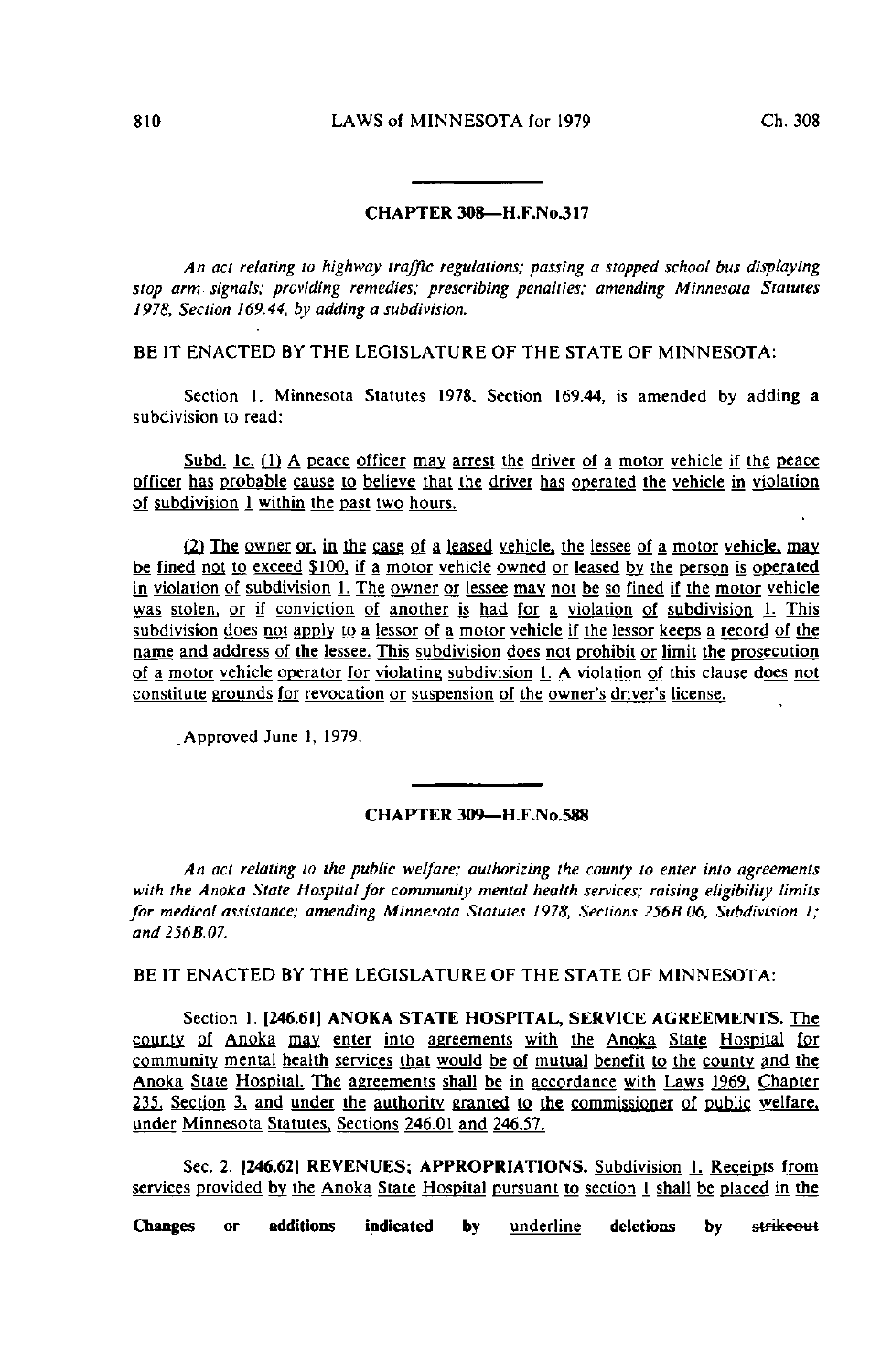## CHAPTER 308—H.F.No.317

An act relating lo highway traffic regulations; passing a slopped school bus displaying slop arm signals; providing remedies; prescribing penalties; amending Minnesota Statutes 1978, Section 169.44, by adding a subdivision.

BE IT ENACTED BY THE LEGISLATURE OF THE STATE OF MINNESOTA:

Section 1. Minnesota Statutes 1978, Section 169.44, is amended by adding a subdivision to read:

Subd. Ic. (1) A peace officer may arrest the driver of a motor vehicle if the peace officer has probable cause to believe that the driver has operated the vehicle in violation of subdivision 1 within the past two hours.

(2) The owner or. in the case of a leased vehicle, the lessee of a motor vehicle, may be fined not to exceed \$100, if a motor vehicle owned or leased by the person is operated in violation of subdivision 1. The owner or lessee may not be so fined if the motor vehicle was stolen, or if conviction of another is had for a violation of subdivision 1. This subdivision does not apply to a lessor of a molor vehicle if the lessor keeps a record of the name and address of the lessee. This subdivision does not prohibit or limit the prosecution of a motor vehicle operator for violating subdivision 1. A violation of this clause does not constitute grounds for revocation or suspension of the owner's driver's license.

.Approved June 1, 1979.

## CHAPTER 309—H.F.No.588

An act relating to the public welfare; authorizing the county to enter into agreements with the Anoka State Hospital for community mental health services; raising eligibility limits for medical assistance; amending Minnesota Statutes 1978, Sections 256B.06, Subdivision I; and256B.07.

BE IT ENACTED BY THE LEGISLATURE OF THE STATE OF MINNESOTA:

Section 1. [246.61) ANOKA STATE HOSPITAL, SERVICE AGREEMENTS. The county of Anoka may enter into agreements with the Anoka State Hospital for community mental health services that would be of mutual benefit to the county and the Anoka State Hospital. The agreements shall be in accordance with Laws 1969. Chapter 235. Section 3, and under the authority granted to the commissioner of public welfare, under Minnesota Statutes. Sections 246.01 and 246.57.

Sec. 2. 1246.621 REVENUES; APPROPRIATIONS. Subdivision 1. Receipts from services provided by the Anoka State Hospital pursuant to section I shall be placed in the

Changes or additions indicated by underline deletions by strikeout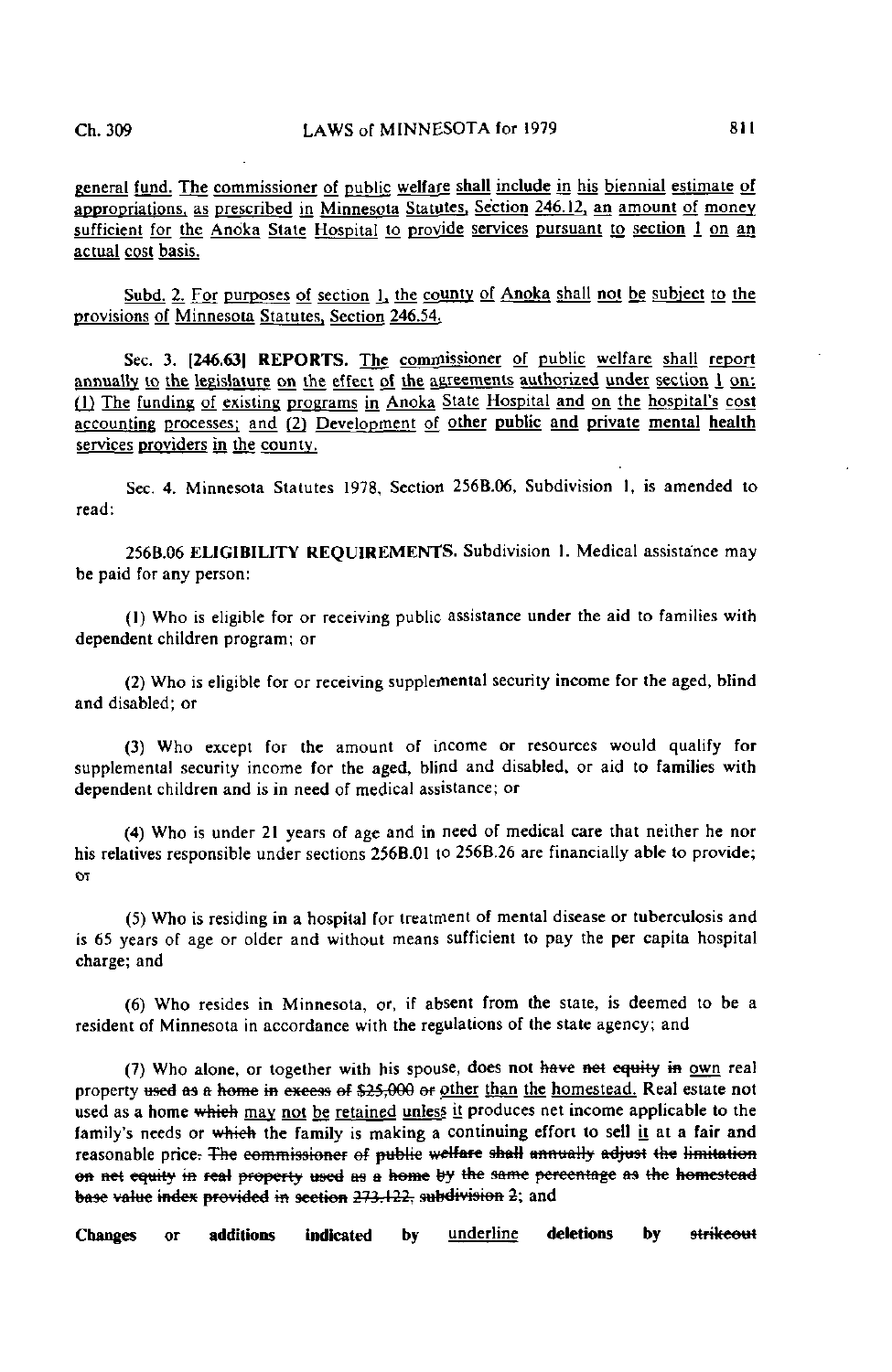general fund. The commissioner of public welfare shall include in his biennial estimate of appropriations, as prescribed in Minnesota Statutes. Section 246.12. an amount of money sufficient for the Anoka State Hospital to provide services pursuant to section  $1$  on an actual cost basis.

Subd. 2. For purposes of section 1, the county of Anoka shall not be subject to the provisions of Minnesota Statutes, Section 246.54.

Sec. 3. [246.63] REPORTS. The commissioner of public welfare shall report annually to the legislature on the effect of the agreements authorized under section I on: Qj The funding of existing programs in Anoka Stale Hospital and on th\_e hospital's cost accounting processes; and (2) Development of other public and private menial health services providers in the county.

Sec. 4. Minnesota Statutes 1978, Section 256B.06, Subdivision 1, is amended to read:

256B.06 ELIGIBILITY REQUIREMENTS. Subdivision 1. Medical assistance may be paid for any person:

(1) Who is eligible for or receiving public assistance under the aid to families with dependent children program; or

(2) Who is eligible for or receiving supplemental security income for the aged, blind and disabled; or

(3) Who except for the amount of income or resources would qualify for supplemental security income for the aged, blind and disabled, or aid to families with dependent children and is in need of medical assistance; or

(4) Who is under 21 years of age and in need of medical care that neither he nor his relatives responsible under sections 256B.01 to 256B.26 are financially able to provide; OT

(5) Who is residing in a hospital for treatment of mental disease or tuberculosis and is 65 years of age or older and without means sufficient to pay the per capita hospital charge; and

(6) Who resides in Minnesota, or, if absent from the state, is deemed to be a resident of Minnesota in accordance with the regulations of the state agency; and

(7) Who alone, or together with his spouse, does not have net equity in own real property used as a home in excess of \$25,000 or other than the homestead. Real estate not used as a home which may not be retained unless it produces net income applicable to the family's needs or which the family is making a continuing effort to sell it at a fair and reasonable price. The commissioner of public welfare shall annually adjust the limitation on net equity in real property used as a home by the same percentage as the homestead base value index provided in section 273.122, subdivision 2; and

Changes or additions indicated by underline deletions by strikeout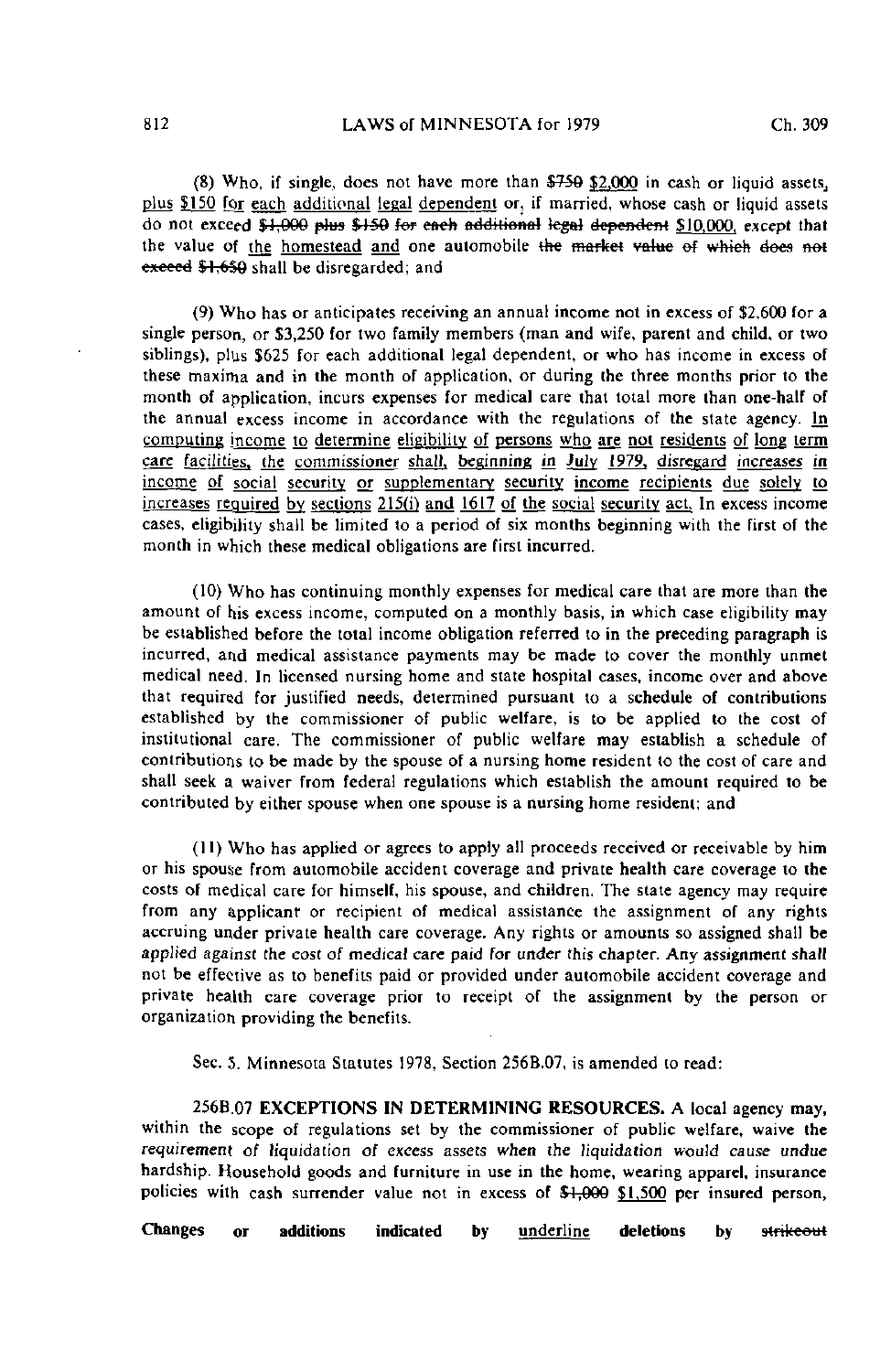$(8)$  Who, if single, does not have more than  $$759$  \$2,000 in cash or liquid assets, plus £150 for each additional legal dependent or, if married, whose cash or liquid assets do not exceed \$1;000 plus \$150 for each additional legal dependent \$10,000, except that the value of the homestead and one automobile the market value of which does not exceed \$1,650 shall be disregarded; and

(9) Who has or anticipates receiving an annual income not in excess of \$2,600 for a single person, or \$3,250 for two family members (man and wife, parent and child, or two siblings), plus \$625 for each additional legal dependent, or who has income in excess of these maxima and in the month of application, or during the three months prior to the month of application, incurs expenses for medical care that total more than one-half of the annual excess income in accordance with the regulations of the state agency. In computing income to determine eligibility of persons who are not residents of long term care facilities, the commissioner shall, beginning in July 1979, disregard increases in income of social security or supplementary security income recipients due solely to increases required by sections 215(i) and 1617 of the social security act. In excess income cases, eligibility shall be limited to a period of six months beginning with the first of the month in which these medical obligations are first incurred.

(10) Who has continuing monthly expenses for medical care that are more than the amount of his excess income, computed on a monthly basis, in which case eligibility may be established before the total income obligation referred to in the preceding paragraph is incurred, and medical assistance payments may be made to cover the monthly unmet medical need. In licensed nursing home and state hospital cases, income over and above that required for justified needs, determined pursuant to a schedule of contributions established by the commissioner of public welfare, is to be applied to the cost of institutional care. The commissioner of public welfare may establish a schedule of contributions to be made by the spouse of a nursing home resident to the cost of care and shall seek a waiver from federal regulations which establish the amount required to be contributed by either spouse when one spouse is a nursing home resident; and

(11) Who has applied or agrees to apply all proceeds received or receivable by him or his spouse from automobile accident coverage and private health care coverage to the costs of medical care for himself, his spouse, and children. The state agency may require from any applicant or recipient of medical assistance the assignment of any rights accruing under private health care coverage. Any rights or amounts so assigned shall be applied against the cost of medical care paid for under this chapter. Any assignment shall not be effective as to benefits paid or provided under automobile accident coverage and private health care coverage prior to receipt of the assignment by the person or organization providing the benefits.

Sec. 5. Minnesota Statutes 1978, Section 256B.07, is amended to read:

256B.07 EXCEPTIONS IN DETERMINING RESOURCES. A local agency may, within the scope of regulations set by the commissioner of public welfare, waive the requirement of liquidation of excess assets when the liquidation would cause undue hardship. Household goods and furniture in use in the home, wearing apparel, insurance policies with cash surrender value not in excess of  $$1,900$   $$1,500$  per insured person,

Changes or additions indicated by underline deletions by strikeout